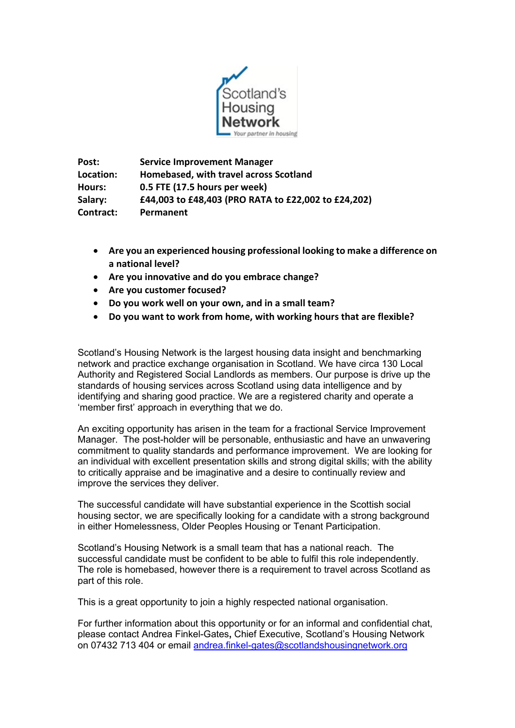

**Post: Service Improvement Manager Location: Homebased, with travel across Scotland Hours: 0.5 FTE (17.5 hours per week) Salary: £44,003 to £48,403 (PRO RATA to £22,002 to £24,202) Contract: Permanent**

- **Are you an experienced housing professional looking to make a difference on a national level?**
- **Are you innovative and do you embrace change?**
- **Are you customer focused?**
- **Do you work well on your own, and in a small team?**
- **Do you want to work from home, with working hours that are flexible?**

Scotland's Housing Network is the largest housing data insight and benchmarking network and practice exchange organisation in Scotland. We have circa 130 Local Authority and Registered Social Landlords as members. Our purpose is drive up the standards of housing services across Scotland using data intelligence and by identifying and sharing good practice. We are a registered charity and operate a 'member first' approach in everything that we do.

An exciting opportunity has arisen in the team for a fractional Service Improvement Manager. The post-holder will be personable, enthusiastic and have an unwavering commitment to quality standards and performance improvement. We are looking for an individual with excellent presentation skills and strong digital skills; with the ability to critically appraise and be imaginative and a desire to continually review and improve the services they deliver.

The successful candidate will have substantial experience in the Scottish social housing sector, we are specifically looking for a candidate with a strong background in either Homelessness, Older Peoples Housing or Tenant Participation.

Scotland's Housing Network is a small team that has a national reach. The successful candidate must be confident to be able to fulfil this role independently. The role is homebased, however there is a requirement to travel across Scotland as part of this role.

This is a great opportunity to join a highly respected national organisation.

For further information about this opportunity or for an informal and confidential chat, please contact Andrea Finkel-Gates**,** Chief Executive, Scotland's Housing Network on 07432 713 404 or email [andrea.finkel-gates@scotlandshousingnetwork.org](mailto:andrea.finkel-gates@scotlandshousingnetwork.org)